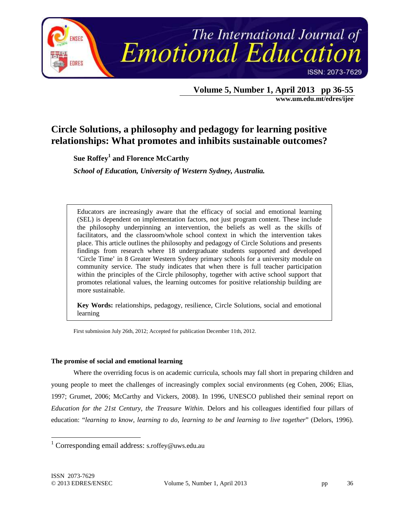

 **Volume 5, Number 1, April 2013 pp 36-55 www.um.edu.mt/edres/ijee** 

# **Circle Solutions, a philosophy and pedagogy for learning positive relationships: What promotes and inhibits sustainable outcomes?**

**Sue Roffey<sup>1</sup> and Florence McCarthy** 

*School of Education, University of Western Sydney, Australia.* 

Educators are increasingly aware that the efficacy of social and emotional learning (SEL) is dependent on implementation factors, not just program content. These include the philosophy underpinning an intervention, the beliefs as well as the skills of facilitators, and the classroom/whole school context in which the intervention takes place. This article outlines the philosophy and pedagogy of Circle Solutions and presents findings from research where 18 undergraduate students supported and developed 'Circle Time' in 8 Greater Western Sydney primary schools for a university module on community service. The study indicates that when there is full teacher participation within the principles of the Circle philosophy, together with active school support that promotes relational values, the learning outcomes for positive relationship building are more sustainable.

**Key Words:** relationships, pedagogy, resilience, Circle Solutions, social and emotional learning

First submission July 26th, 2012; Accepted for publication December 11th, 2012.

## **The promise of social and emotional learning**

Where the overriding focus is on academic curricula, schools may fall short in preparing children and young people to meet the challenges of increasingly complex social environments (eg Cohen, 2006; Elias, 1997; Grumet, 2006; McCarthy and Vickers, 2008). In 1996, UNESCO published their seminal report on *Education for the 21st Century, the Treasure Within*. Delors and his colleagues identified four pillars of education: "*learning to know, learning to do, learning to be and learning to live together*" (Delors, 1996).

 1 Corresponding email address: s.roffey@uws.edu.au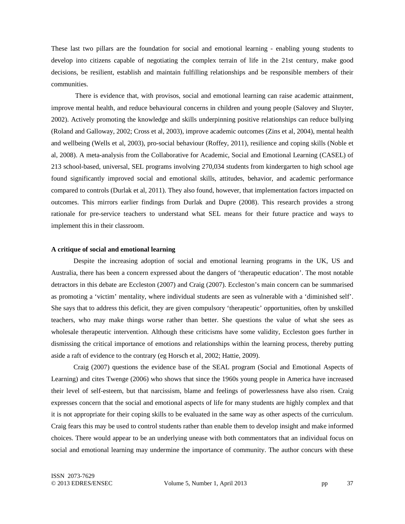These last two pillars are the foundation for social and emotional learning - enabling young students to develop into citizens capable of negotiating the complex terrain of life in the 21st century, make good decisions, be resilient, establish and maintain fulfilling relationships and be responsible members of their communities.

 There is evidence that, with provisos, social and emotional learning can raise academic attainment, improve mental health, and reduce behavioural concerns in children and young people (Salovey and Sluyter, 2002). Actively promoting the knowledge and skills underpinning positive relationships can reduce bullying (Roland and Galloway, 2002; Cross et al, 2003), improve academic outcomes (Zins et al, 2004), mental health and wellbeing (Wells et al, 2003), pro-social behaviour (Roffey, 2011), resilience and coping skills (Noble et al, 2008). A meta-analysis from the Collaborative for Academic, Social and Emotional Learning (CASEL) of 213 school-based, universal, SEL programs involving 270,034 students from kindergarten to high school age found significantly improved social and emotional skills, attitudes, behavior, and academic performance compared to controls (Durlak et al, 2011). They also found, however, that implementation factors impacted on outcomes. This mirrors earlier findings from Durlak and Dupre (2008). This research provides a strong rationale for pre-service teachers to understand what SEL means for their future practice and ways to implement this in their classroom.

#### **A critique of social and emotional learning**

Despite the increasing adoption of social and emotional learning programs in the UK, US and Australia, there has been a concern expressed about the dangers of 'therapeutic education'. The most notable detractors in this debate are Eccleston (2007) and Craig (2007). Eccleston's main concern can be summarised as promoting a 'victim' mentality, where individual students are seen as vulnerable with a 'diminished self'. She says that to address this deficit, they are given compulsory 'therapeutic' opportunities, often by unskilled teachers, who may make things worse rather than better. She questions the value of what she sees as wholesale therapeutic intervention. Although these criticisms have some validity, Eccleston goes further in dismissing the critical importance of emotions and relationships within the learning process, thereby putting aside a raft of evidence to the contrary (eg Horsch et al, 2002; Hattie, 2009).

Craig (2007) questions the evidence base of the SEAL program (Social and Emotional Aspects of Learning) and cites Twenge (2006) who shows that since the 1960s young people in America have increased their level of self-esteem, but that narcissism, blame and feelings of powerlessness have also risen. Craig expresses concern that the social and emotional aspects of life for many students are highly complex and that it is not appropriate for their coping skills to be evaluated in the same way as other aspects of the curriculum. Craig fears this may be used to control students rather than enable them to develop insight and make informed choices. There would appear to be an underlying unease with both commentators that an individual focus on social and emotional learning may undermine the importance of community. The author concurs with these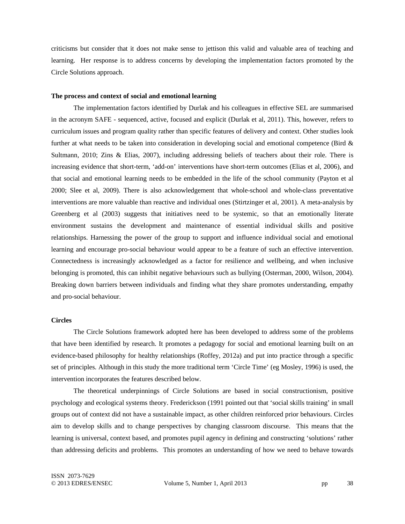criticisms but consider that it does not make sense to jettison this valid and valuable area of teaching and learning. Her response is to address concerns by developing the implementation factors promoted by the Circle Solutions approach.

#### **The process and context of social and emotional learning**

The implementation factors identified by Durlak and his colleagues in effective SEL are summarised in the acronym SAFE - sequenced, active, focused and explicit (Durlak et al, 2011). This, however, refers to curriculum issues and program quality rather than specific features of delivery and context. Other studies look further at what needs to be taken into consideration in developing social and emotional competence (Bird  $\&$ Sultmann, 2010; Zins & Elias, 2007), including addressing beliefs of teachers about their role. There is increasing evidence that short-term, 'add-on' interventions have short-term outcomes (Elias et al, 2006), and that social and emotional learning needs to be embedded in the life of the school community (Payton et al 2000; Slee et al, 2009). There is also acknowledgement that whole-school and whole-class preventative interventions are more valuable than reactive and individual ones (Stirtzinger et al, 2001). A meta-analysis by Greenberg et al (2003) suggests that initiatives need to be systemic, so that an emotionally literate environment sustains the development and maintenance of essential individual skills and positive relationships. Harnessing the power of the group to support and influence individual social and emotional learning and encourage pro-social behaviour would appear to be a feature of such an effective intervention. Connectedness is increasingly acknowledged as a factor for resilience and wellbeing, and when inclusive belonging is promoted, this can inhibit negative behaviours such as bullying (Osterman, 2000, Wilson, 2004). Breaking down barriers between individuals and finding what they share promotes understanding, empathy and pro-social behaviour.

## **Circles**

The Circle Solutions framework adopted here has been developed to address some of the problems that have been identified by research. It promotes a pedagogy for social and emotional learning built on an evidence-based philosophy for healthy relationships (Roffey, 2012a) and put into practice through a specific set of principles. Although in this study the more traditional term 'Circle Time' (eg Mosley, 1996) is used, the intervention incorporates the features described below.

The theoretical underpinnings of Circle Solutions are based in social constructionism, positive psychology and ecological systems theory. Frederickson (1991 pointed out that 'social skills training' in small groups out of context did not have a sustainable impact, as other children reinforced prior behaviours. Circles aim to develop skills and to change perspectives by changing classroom discourse. This means that the learning is universal, context based, and promotes pupil agency in defining and constructing 'solutions' rather than addressing deficits and problems. This promotes an understanding of how we need to behave towards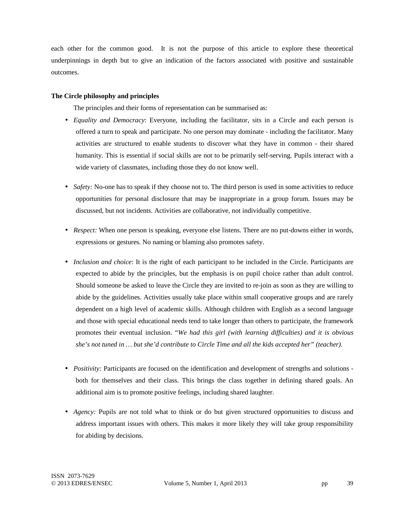each other for the common good. It is not the purpose of this article to explore these theoretical underpinnings in depth but to give an indication of the factors associated with positive and sustainable outcomes.

# **The Circle philosophy and principles**

The principles and their forms of representation can be summarised as:

- *Equality and Democracy*: Everyone, including the facilitator, sits in a Circle and each person is offered a turn to speak and participate. No one person may dominate - including the facilitator. Many activities are structured to enable students to discover what they have in common - their shared humanity. This is essential if social skills are not to be primarily self-serving. Pupils interact with a wide variety of classmates, including those they do not know well.
- *Safety:* No-one has to speak if they choose not to. The third person is used in some activities to reduce opportunities for personal disclosure that may be inappropriate in a group forum. Issues may be discussed, but not incidents. Activities are collaborative, not individually competitive.
- *Respect:* When one person is speaking, everyone else listens. There are no put-downs either in words, expressions or gestures. No naming or blaming also promotes safety.
- *Inclusion and choice*: It is the right of each participant to be included in the Circle. Participants are expected to abide by the principles, but the emphasis is on pupil choice rather than adult control. Should someone be asked to leave the Circle they are invited to re-join as soon as they are willing to abide by the guidelines. Activities usually take place within small cooperative groups and are rarely dependent on a high level of academic skills. Although children with English as a second language and those with special educational needs tend to take longer than others to participate, the framework promotes their eventual inclusion. "*We had this girl (with learning difficulties) and it is obvious she's not tuned in … but she'd contribute to Circle Time and all the kids accepted her" (teacher).*
- *Positivity:* Participants are focused on the identification and development of strengths and solutions both for themselves and their class. This brings the class together in defining shared goals. An additional aim is to promote positive feelings, including shared laughter.
- *Agency:* Pupils are not told what to think or do but given structured opportunities to discuss and address important issues with others. This makes it more likely they will take group responsibility for abiding by decisions.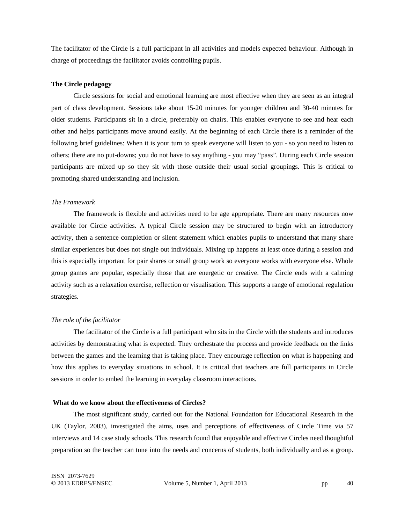The facilitator of the Circle is a full participant in all activities and models expected behaviour. Although in charge of proceedings the facilitator avoids controlling pupils.

#### **The Circle pedagogy**

Circle sessions for social and emotional learning are most effective when they are seen as an integral part of class development. Sessions take about 15-20 minutes for younger children and 30-40 minutes for older students. Participants sit in a circle, preferably on chairs. This enables everyone to see and hear each other and helps participants move around easily. At the beginning of each Circle there is a reminder of the following brief guidelines: When it is your turn to speak everyone will listen to you - so you need to listen to others; there are no put-downs; you do not have to say anything - you may "pass". During each Circle session participants are mixed up so they sit with those outside their usual social groupings. This is critical to promoting shared understanding and inclusion.

#### *The Framework*

The framework is flexible and activities need to be age appropriate. There are many resources now available for Circle activities. A typical Circle session may be structured to begin with an introductory activity, then a sentence completion or silent statement which enables pupils to understand that many share similar experiences but does not single out individuals. Mixing up happens at least once during a session and this is especially important for pair shares or small group work so everyone works with everyone else. Whole group games are popular, especially those that are energetic or creative. The Circle ends with a calming activity such as a relaxation exercise, reflection or visualisation. This supports a range of emotional regulation strategies.

#### *The role of the facilitator*

The facilitator of the Circle is a full participant who sits in the Circle with the students and introduces activities by demonstrating what is expected. They orchestrate the process and provide feedback on the links between the games and the learning that is taking place. They encourage reflection on what is happening and how this applies to everyday situations in school. It is critical that teachers are full participants in Circle sessions in order to embed the learning in everyday classroom interactions.

#### **What do we know about the effectiveness of Circles?**

The most significant study, carried out for the National Foundation for Educational Research in the UK (Taylor, 2003), investigated the aims, uses and perceptions of effectiveness of Circle Time via 57 interviews and 14 case study schools. This research found that enjoyable and effective Circles need thoughtful preparation so the teacher can tune into the needs and concerns of students, both individually and as a group.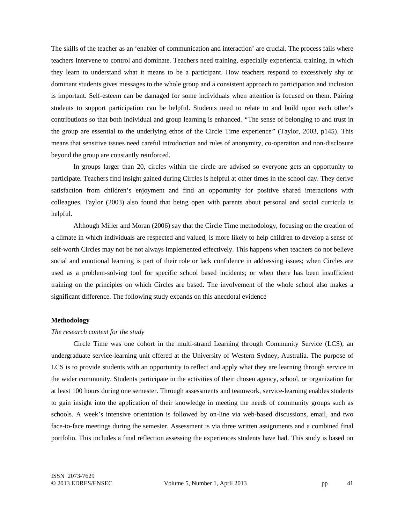The skills of the teacher as an 'enabler of communication and interaction' are crucial. The process fails where teachers intervene to control and dominate. Teachers need training, especially experiential training, in which they learn to understand what it means to be a participant. How teachers respond to excessively shy or dominant students gives messages to the whole group and a consistent approach to participation and inclusion is important. Self-esteem can be damaged for some individuals when attention is focused on them. Pairing students to support participation can be helpful. Students need to relate to and build upon each other's contributions so that both individual and group learning is enhanced. *"*The sense of belonging to and trust in the group are essential to the underlying ethos of the Circle Time experience*"* (Taylor, 2003, p145). This means that sensitive issues need careful introduction and rules of anonymity, co-operation and non-disclosure beyond the group are constantly reinforced.

In groups larger than 20, circles within the circle are advised so everyone gets an opportunity to participate. Teachers find insight gained during Circles is helpful at other times in the school day. They derive satisfaction from children's enjoyment and find an opportunity for positive shared interactions with colleagues. Taylor (2003) also found that being open with parents about personal and social curricula is helpful.

Although Miller and Moran (2006) say that the Circle Time methodology, focusing on the creation of a climate in which individuals are respected and valued, is more likely to help children to develop a sense of self-worth Circles may not be not always implemented effectively. This happens when teachers do not believe social and emotional learning is part of their role or lack confidence in addressing issues; when Circles are used as a problem-solving tool for specific school based incidents; or when there has been insufficient training on the principles on which Circles are based. The involvement of the whole school also makes a significant difference. The following study expands on this anecdotal evidence

## **Methodology**

#### *The research context for the study*

Circle Time was one cohort in the multi-strand Learning through Community Service (LCS), an undergraduate service-learning unit offered at the University of Western Sydney, Australia. The purpose of LCS is to provide students with an opportunity to reflect and apply what they are learning through service in the wider community. Students participate in the activities of their chosen agency, school, or organization for at least 100 hours during one semester. Through assessments and teamwork, service-learning enables students to gain insight into the application of their knowledge in meeting the needs of community groups such as schools. A week's intensive orientation is followed by on-line via web-based discussions, email, and two face-to-face meetings during the semester. Assessment is via three written assignments and a combined final portfolio. This includes a final reflection assessing the experiences students have had. This study is based on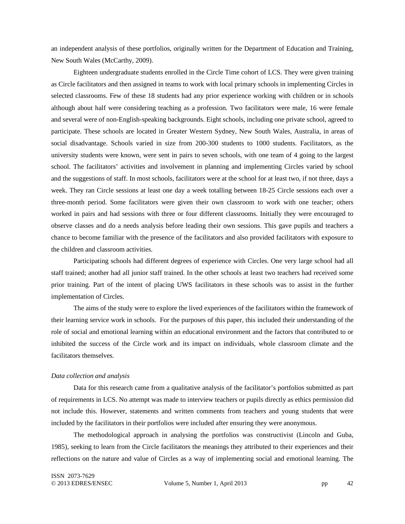an independent analysis of these portfolios, originally written for the Department of Education and Training, New South Wales (McCarthy, 2009).

Eighteen undergraduate students enrolled in the Circle Time cohort of LCS. They were given training as Circle facilitators and then assigned in teams to work with local primary schools in implementing Circles in selected classrooms. Few of these 18 students had any prior experience working with children or in schools although about half were considering teaching as a profession. Two facilitators were male, 16 were female and several were of non-English-speaking backgrounds. Eight schools, including one private school, agreed to participate. These schools are located in Greater Western Sydney, New South Wales, Australia, in areas of social disadvantage. Schools varied in size from 200-300 students to 1000 students. Facilitators, as the university students were known, were sent in pairs to seven schools, with one team of 4 going to the largest school. The facilitators' activities and involvement in planning and implementing Circles varied by school and the suggestions of staff. In most schools, facilitators were at the school for at least two, if not three, days a week. They ran Circle sessions at least one day a week totalling between 18-25 Circle sessions each over a three-month period. Some facilitators were given their own classroom to work with one teacher; others worked in pairs and had sessions with three or four different classrooms. Initially they were encouraged to observe classes and do a needs analysis before leading their own sessions. This gave pupils and teachers a chance to become familiar with the presence of the facilitators and also provided facilitators with exposure to the children and classroom activities.

Participating schools had different degrees of experience with Circles. One very large school had all staff trained; another had all junior staff trained. In the other schools at least two teachers had received some prior training. Part of the intent of placing UWS facilitators in these schools was to assist in the further implementation of Circles.

The aims of the study were to explore the lived experiences of the facilitators within the framework of their learning service work in schools. For the purposes of this paper, this included their understanding of the role of social and emotional learning within an educational environment and the factors that contributed to or inhibited the success of the Circle work and its impact on individuals, whole classroom climate and the facilitators themselves.

#### *Data collection and analysis*

Data for this research came from a qualitative analysis of the facilitator's portfolios submitted as part of requirements in LCS. No attempt was made to interview teachers or pupils directly as ethics permission did not include this. However, statements and written comments from teachers and young students that were included by the facilitators in their portfolios were included after ensuring they were anonymous.

The methodological approach in analysing the portfolios was constructivist (Lincoln and Guba, 1985), seeking to learn from the Circle facilitators the meanings they attributed to their experiences and their reflections on the nature and value of Circles as a way of implementing social and emotional learning. The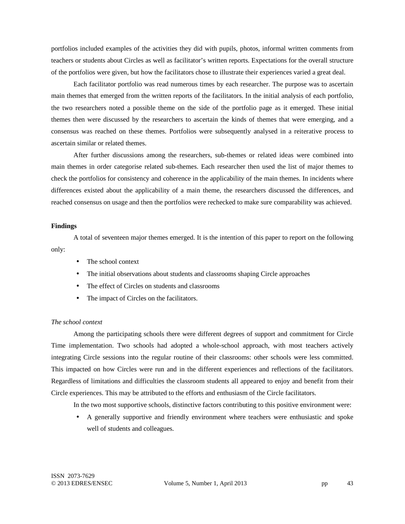portfolios included examples of the activities they did with pupils, photos, informal written comments from teachers or students about Circles as well as facilitator's written reports. Expectations for the overall structure of the portfolios were given, but how the facilitators chose to illustrate their experiences varied a great deal.

Each facilitator portfolio was read numerous times by each researcher. The purpose was to ascertain main themes that emerged from the written reports of the facilitators. In the initial analysis of each portfolio, the two researchers noted a possible theme on the side of the portfolio page as it emerged. These initial themes then were discussed by the researchers to ascertain the kinds of themes that were emerging, and a consensus was reached on these themes. Portfolios were subsequently analysed in a reiterative process to ascertain similar or related themes.

After further discussions among the researchers, sub-themes or related ideas were combined into main themes in order categorise related sub-themes. Each researcher then used the list of major themes to check the portfolios for consistency and coherence in the applicability of the main themes. In incidents where differences existed about the applicability of a main theme, the researchers discussed the differences, and reached consensus on usage and then the portfolios were rechecked to make sure comparability was achieved.

## **Findings**

A total of seventeen major themes emerged. It is the intention of this paper to report on the following only:

- The school context
- The initial observations about students and classrooms shaping Circle approaches
- The effect of Circles on students and classrooms
- The impact of Circles on the facilitators.

## *The school context*

Among the participating schools there were different degrees of support and commitment for Circle Time implementation. Two schools had adopted a whole-school approach, with most teachers actively integrating Circle sessions into the regular routine of their classrooms: other schools were less committed. This impacted on how Circles were run and in the different experiences and reflections of the facilitators. Regardless of limitations and difficulties the classroom students all appeared to enjoy and benefit from their Circle experiences. This may be attributed to the efforts and enthusiasm of the Circle facilitators.

In the two most supportive schools, distinctive factors contributing to this positive environment were:

• A generally supportive and friendly environment where teachers were enthusiastic and spoke well of students and colleagues.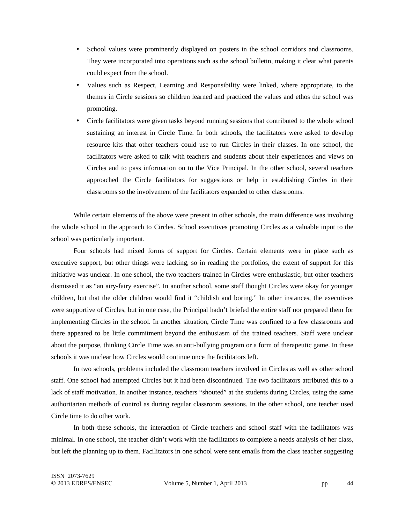- School values were prominently displayed on posters in the school corridors and classrooms. They were incorporated into operations such as the school bulletin, making it clear what parents could expect from the school.
- Values such as Respect, Learning and Responsibility were linked, where appropriate, to the themes in Circle sessions so children learned and practiced the values and ethos the school was promoting.
- Circle facilitators were given tasks beyond running sessions that contributed to the whole school sustaining an interest in Circle Time. In both schools, the facilitators were asked to develop resource kits that other teachers could use to run Circles in their classes. In one school, the facilitators were asked to talk with teachers and students about their experiences and views on Circles and to pass information on to the Vice Principal. In the other school, several teachers approached the Circle facilitators for suggestions or help in establishing Circles in their classrooms so the involvement of the facilitators expanded to other classrooms.

While certain elements of the above were present in other schools, the main difference was involving the whole school in the approach to Circles. School executives promoting Circles as a valuable input to the school was particularly important.

Four schools had mixed forms of support for Circles. Certain elements were in place such as executive support, but other things were lacking, so in reading the portfolios, the extent of support for this initiative was unclear. In one school, the two teachers trained in Circles were enthusiastic, but other teachers dismissed it as "an airy-fairy exercise". In another school, some staff thought Circles were okay for younger children, but that the older children would find it "childish and boring." In other instances, the executives were supportive of Circles, but in one case, the Principal hadn't briefed the entire staff nor prepared them for implementing Circles in the school. In another situation, Circle Time was confined to a few classrooms and there appeared to be little commitment beyond the enthusiasm of the trained teachers. Staff were unclear about the purpose, thinking Circle Time was an anti-bullying program or a form of therapeutic game. In these schools it was unclear how Circles would continue once the facilitators left.

In two schools, problems included the classroom teachers involved in Circles as well as other school staff. One school had attempted Circles but it had been discontinued. The two facilitators attributed this to a lack of staff motivation. In another instance, teachers "shouted" at the students during Circles, using the same authoritarian methods of control as during regular classroom sessions. In the other school, one teacher used Circle time to do other work.

In both these schools, the interaction of Circle teachers and school staff with the facilitators was minimal. In one school, the teacher didn't work with the facilitators to complete a needs analysis of her class, but left the planning up to them. Facilitators in one school were sent emails from the class teacher suggesting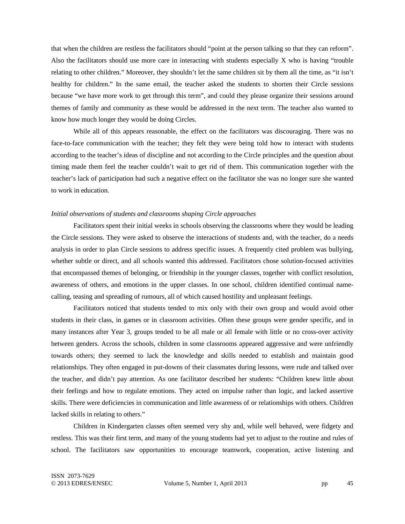that when the children are restless the facilitators should "point at the person talking so that they can reform". Also the facilitators should use more care in interacting with students especially X who is having "trouble relating to other children." Moreover, they shouldn't let the same children sit by them all the time, as "it isn't healthy for children." In the same email, the teacher asked the students to shorten their Circle sessions because "we have more work to get through this term", and could they please organize their sessions around themes of family and community as these would be addressed in the next term. The teacher also wanted to know how much longer they would be doing Circles.

While all of this appears reasonable, the effect on the facilitators was discouraging. There was no face-to-face communication with the teacher; they felt they were being told how to interact with students according to the teacher's ideas of discipline and not according to the Circle principles and the question about timing made them feel the teacher couldn't wait to get rid of them. This communication together with the teacher's lack of participation had such a negative effect on the facilitator she was no longer sure she wanted to work in education.

#### *Initial observations of students and classrooms shaping Circle approaches*

Facilitators spent their initial weeks in schools observing the classrooms where they would be leading the Circle sessions. They were asked to observe the interactions of students and, with the teacher, do a needs analysis in order to plan Circle sessions to address specific issues. A frequently cited problem was bullying, whether subtle or direct, and all schools wanted this addressed. Facilitators chose solution-focused activities that encompassed themes of belonging, or friendship in the younger classes, together with conflict resolution, awareness of others, and emotions in the upper classes. In one school, children identified continual namecalling, teasing and spreading of rumours, all of which caused hostility and unpleasant feelings.

Facilitators noticed that students tended to mix only with their own group and would avoid other students in their class, in games or in classroom activities. Often these groups were gender specific, and in many instances after Year 3, groups tended to be all male or all female with little or no cross-over activity between genders. Across the schools, children in some classrooms appeared aggressive and were unfriendly towards others; they seemed to lack the knowledge and skills needed to establish and maintain good relationships. They often engaged in put-downs of their classmates during lessons, were rude and talked over the teacher, and didn't pay attention. As one facilitator described her students: "Children knew little about their feelings and how to regulate emotions. They acted on impulse rather than logic, and lacked assertive skills. There were deficiencies in communication and little awareness of or relationships with others. Children lacked skills in relating to others."

Children in Kindergarten classes often seemed very shy and, while well behaved, were fidgety and restless. This was their first term, and many of the young students had yet to adjust to the routine and rules of school. The facilitators saw opportunities to encourage teamwork, cooperation, active listening and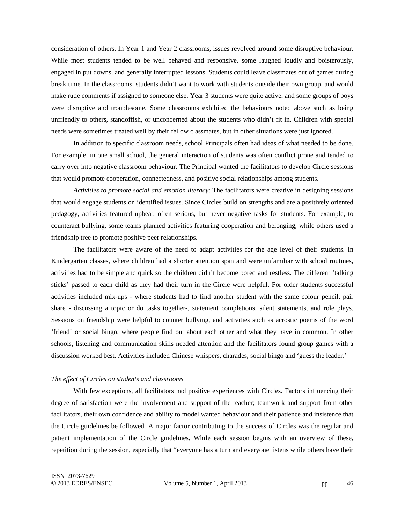consideration of others. In Year 1 and Year 2 classrooms, issues revolved around some disruptive behaviour. While most students tended to be well behaved and responsive, some laughed loudly and boisterously, engaged in put downs, and generally interrupted lessons. Students could leave classmates out of games during break time. In the classrooms, students didn't want to work with students outside their own group, and would make rude comments if assigned to someone else. Year 3 students were quite active, and some groups of boys were disruptive and troublesome. Some classrooms exhibited the behaviours noted above such as being unfriendly to others, standoffish, or unconcerned about the students who didn't fit in. Children with special needs were sometimes treated well by their fellow classmates, but in other situations were just ignored.

In addition to specific classroom needs, school Principals often had ideas of what needed to be done. For example, in one small school, the general interaction of students was often conflict prone and tended to carry over into negative classroom behaviour. The Principal wanted the facilitators to develop Circle sessions that would promote cooperation, connectedness, and positive social relationships among students.

*Activities to promote social and emotion literacy*: The facilitators were creative in designing sessions that would engage students on identified issues. Since Circles build on strengths and are a positively oriented pedagogy, activities featured upbeat, often serious, but never negative tasks for students. For example, to counteract bullying, some teams planned activities featuring cooperation and belonging, while others used a friendship tree to promote positive peer relationships.

The facilitators were aware of the need to adapt activities for the age level of their students. In Kindergarten classes, where children had a shorter attention span and were unfamiliar with school routines, activities had to be simple and quick so the children didn't become bored and restless. The different 'talking sticks' passed to each child as they had their turn in the Circle were helpful. For older students successful activities included mix-ups - where students had to find another student with the same colour pencil, pair share - discussing a topic or do tasks together-, statement completions, silent statements, and role plays. Sessions on friendship were helpful to counter bullying, and activities such as acrostic poems of the word 'friend' or social bingo, where people find out about each other and what they have in common. In other schools, listening and communication skills needed attention and the facilitators found group games with a discussion worked best. Activities included Chinese whispers, charades, social bingo and 'guess the leader.'

#### *The effect of Circles on students and classrooms*

With few exceptions, all facilitators had positive experiences with Circles. Factors influencing their degree of satisfaction were the involvement and support of the teacher; teamwork and support from other facilitators, their own confidence and ability to model wanted behaviour and their patience and insistence that the Circle guidelines be followed. A major factor contributing to the success of Circles was the regular and patient implementation of the Circle guidelines. While each session begins with an overview of these, repetition during the session, especially that "everyone has a turn and everyone listens while others have their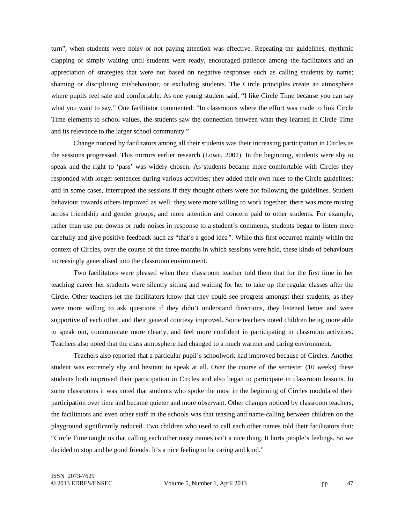turn", when students were noisy or not paying attention was effective. Repeating the guidelines, rhythmic clapping or simply waiting until students were ready, encouraged patience among the facilitators and an appreciation of strategies that were not based on negative responses such as calling students by name; shaming or disciplining misbehaviour, or excluding students. The Circle principles create an atmosphere where pupils feel safe and comfortable. As one young student said, "I like Circle Time because you can say what you want to say." One facilitator commented: "In classrooms where the effort was made to link Circle Time elements to school values, the students saw the connection between what they learned in Circle Time and its relevance to the larger school community."

Change noticed by facilitators among all their students was their increasing participation in Circles as the sessions progressed. This mirrors earlier research (Lown, 2002). In the beginning, students were shy to speak and the right to 'pass' was widely chosen. As students became more comfortable with Circles they responded with longer sentences during various activities; they added their own rules to the Circle guidelines; and in some cases, interrupted the sessions if they thought others were not following the guidelines. Student behaviour towards others improved as well: they were more willing to work together; there was more mixing across friendship and gender groups, and more attention and concern paid to other students. For example, rather than use put-downs or rude noises in response to a student's comments, students began to listen more carefully and give positive feedback such as "that's a good idea*"*. While this first occurred mainly within the context of Circles, over the course of the three months in which sessions were held, these kinds of behaviours increasingly generalised into the classroom environment.

Two facilitators were pleased when their classroom teacher told them that for the first time in her teaching career her students were silently sitting and waiting for her to take up the regular classes after the Circle. Other teachers let the facilitators know that they could see progress amongst their students, as they were more willing to ask questions if they didn't understand directions, they listened better and were supportive of each other, and their general courtesy improved. Some teachers noted children being more able to speak out, communicate more clearly, and feel more confident in participating in classroom activities. Teachers also noted that the class atmosphere had changed to a much warmer and caring environment.

Teachers also reported that a particular pupil's schoolwork had improved because of Circles. Another student was extremely shy and hesitant to speak at all. Over the course of the semester (10 weeks) these students both improved their participation in Circles and also began to participate in classroom lessons. In some classrooms it was noted that students who spoke the most in the beginning of Circles modulated their participation over time and became quieter and more observant. Other changes noticed by classroom teachers, the facilitators and even other staff in the schools was that teasing and name-calling between children on the playground significantly reduced. Two children who used to call each other names told their facilitators that: "Circle Time taught us that calling each other nasty names isn't a nice thing. It hurts people's feelings. So we decided to stop and be good friends. It's a nice feeling to be caring and kind."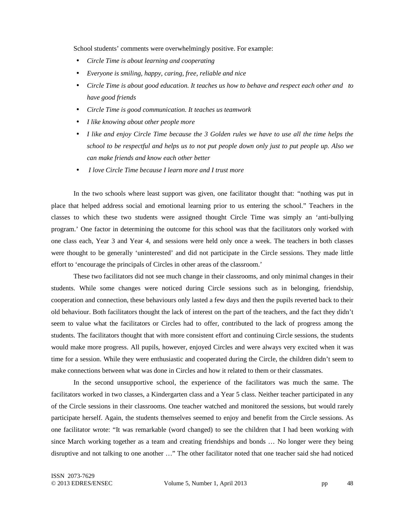School students' comments were overwhelmingly positive. For example:

- *Circle Time is about learning and cooperating*
- *Everyone is smiling, happy, caring, free, reliable and nice*
- *Circle Time is about good education. It teaches us how to behave and respect each other and to have good friends*
- *Circle Time is good communication. It teaches us teamwork*
- *I like knowing about other people more*
- *I like and enjoy Circle Time because the 3 Golden rules we have to use all the time helps the school to be respectful and helps us to not put people down only just to put people up. Also we can make friends and know each other better*
- • *I love Circle Time because I learn more and I trust more*

In the two schools where least support was given, one facilitator thought that: *"*nothing was put in place that helped address social and emotional learning prior to us entering the school." Teachers in the classes to which these two students were assigned thought Circle Time was simply an 'anti-bullying program.' One factor in determining the outcome for this school was that the facilitators only worked with one class each, Year 3 and Year 4, and sessions were held only once a week. The teachers in both classes were thought to be generally 'uninterested' and did not participate in the Circle sessions. They made little effort to 'encourage the principals of Circles in other areas of the classroom.'

These two facilitators did not see much change in their classrooms, and only minimal changes in their students. While some changes were noticed during Circle sessions such as in belonging, friendship, cooperation and connection, these behaviours only lasted a few days and then the pupils reverted back to their old behaviour. Both facilitators thought the lack of interest on the part of the teachers, and the fact they didn't seem to value what the facilitators or Circles had to offer, contributed to the lack of progress among the students. The facilitators thought that with more consistent effort and continuing Circle sessions, the students would make more progress. All pupils, however, enjoyed Circles and were always very excited when it was time for a session. While they were enthusiastic and cooperated during the Circle, the children didn't seem to make connections between what was done in Circles and how it related to them or their classmates.

In the second unsupportive school, the experience of the facilitators was much the same. The facilitators worked in two classes, a Kindergarten class and a Year 5 class. Neither teacher participated in any of the Circle sessions in their classrooms. One teacher watched and monitored the sessions, but would rarely participate herself. Again, the students themselves seemed to enjoy and benefit from the Circle sessions. As one facilitator wrote: "It was remarkable (word changed) to see the children that I had been working with since March working together as a team and creating friendships and bonds … No longer were they being disruptive and not talking to one another …" The other facilitator noted that one teacher said she had noticed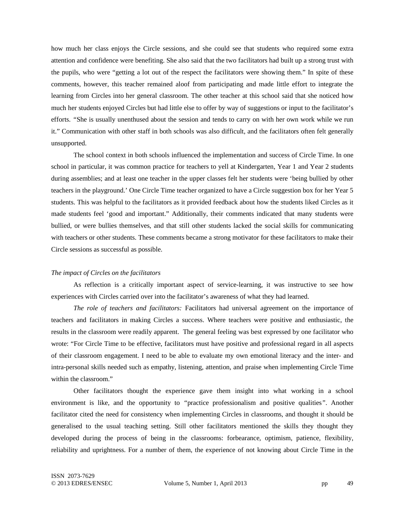how much her class enjoys the Circle sessions, and she could see that students who required some extra attention and confidence were benefiting. She also said that the two facilitators had built up a strong trust with the pupils, who were "getting a lot out of the respect the facilitators were showing them." In spite of these comments, however, this teacher remained aloof from participating and made little effort to integrate the learning from Circles into her general classroom. The other teacher at this school said that she noticed how much her students enjoyed Circles but had little else to offer by way of suggestions or input to the facilitator's efforts. *"*She is usually unenthused about the session and tends to carry on with her own work while we run it." Communication with other staff in both schools was also difficult, and the facilitators often felt generally unsupported.

The school context in both schools influenced the implementation and success of Circle Time. In one school in particular, it was common practice for teachers to yell at Kindergarten, Year 1 and Year 2 students during assemblies; and at least one teacher in the upper classes felt her students were 'being bullied by other teachers in the playground.' One Circle Time teacher organized to have a Circle suggestion box for her Year 5 students. This was helpful to the facilitators as it provided feedback about how the students liked Circles as it made students feel 'good and important." Additionally, their comments indicated that many students were bullied, or were bullies themselves, and that still other students lacked the social skills for communicating with teachers or other students. These comments became a strong motivator for these facilitators to make their Circle sessions as successful as possible.

#### *The impact of Circles on the facilitators*

As reflection is a critically important aspect of service-learning, it was instructive to see how experiences with Circles carried over into the facilitator's awareness of what they had learned.

*The role of teachers and facilitators:* Facilitators had universal agreement on the importance of teachers and facilitators in making Circles a success. Where teachers were positive and enthusiastic, the results in the classroom were readily apparent. The general feeling was best expressed by one facilitator who wrote: "For Circle Time to be effective, facilitators must have positive and professional regard in all aspects of their classroom engagement. I need to be able to evaluate my own emotional literacy and the inter- and intra-personal skills needed such as empathy, listening, attention, and praise when implementing Circle Time within the classroom."

Other facilitators thought the experience gave them insight into what working in a school environment is like, and the opportunity to *"*practice professionalism and positive qualities*"*. Another facilitator cited the need for consistency when implementing Circles in classrooms, and thought it should be generalised to the usual teaching setting. Still other facilitators mentioned the skills they thought they developed during the process of being in the classrooms: forbearance, optimism, patience, flexibility, reliability and uprightness. For a number of them, the experience of not knowing about Circle Time in the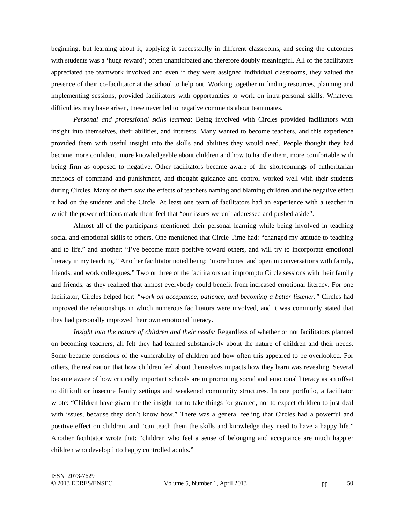beginning, but learning about it, applying it successfully in different classrooms, and seeing the outcomes with students was a 'huge reward'; often unanticipated and therefore doubly meaningful. All of the facilitators appreciated the teamwork involved and even if they were assigned individual classrooms, they valued the presence of their co-facilitator at the school to help out. Working together in finding resources, planning and implementing sessions, provided facilitators with opportunities to work on intra-personal skills. Whatever difficulties may have arisen, these never led to negative comments about teammates.

*Personal and professional skills learned*: Being involved with Circles provided facilitators with insight into themselves, their abilities, and interests. Many wanted to become teachers, and this experience provided them with useful insight into the skills and abilities they would need. People thought they had become more confident, more knowledgeable about children and how to handle them, more comfortable with being firm as opposed to negative. Other facilitators became aware of the shortcomings of authoritarian methods of command and punishment, and thought guidance and control worked well with their students during Circles. Many of them saw the effects of teachers naming and blaming children and the negative effect it had on the students and the Circle. At least one team of facilitators had an experience with a teacher in which the power relations made them feel that "our issues weren't addressed and pushed aside".

Almost all of the participants mentioned their personal learning while being involved in teaching social and emotional skills to others. One mentioned that Circle Time had: "changed my attitude to teaching and to life," and another: "I've become more positive toward others, and will try to incorporate emotional literacy in my teaching." Another facilitator noted being: "more honest and open in conversations with family, friends, and work colleagues." Two or three of the facilitators ran impromptu Circle sessions with their family and friends, as they realized that almost everybody could benefit from increased emotional literacy. For one facilitator, Circles helped her: *"work on acceptance, patience, and becoming a better listener."* Circles had improved the relationships in which numerous facilitators were involved, and it was commonly stated that they had personally improved their own emotional literacy.

*Insight into the nature of children and their needs: Regardless of whether or not facilitators planned* on becoming teachers, all felt they had learned substantively about the nature of children and their needs. Some became conscious of the vulnerability of children and how often this appeared to be overlooked. For others, the realization that how children feel about themselves impacts how they learn was revealing. Several became aware of how critically important schools are in promoting social and emotional literacy as an offset to difficult or insecure family settings and weakened community structures. In one portfolio, a facilitator wrote: "Children have given me the insight not to take things for granted, not to expect children to just deal with issues, because they don't know how." There was a general feeling that Circles had a powerful and positive effect on children, and "can teach them the skills and knowledge they need to have a happy life." Another facilitator wrote that: "children who feel a sense of belonging and acceptance are much happier children who develop into happy controlled adults."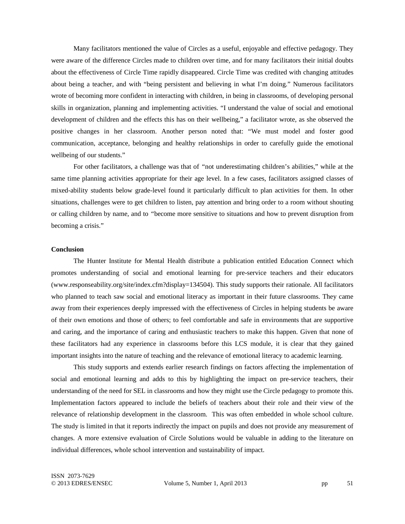Many facilitators mentioned the value of Circles as a useful, enjoyable and effective pedagogy. They were aware of the difference Circles made to children over time, and for many facilitators their initial doubts about the effectiveness of Circle Time rapidly disappeared. Circle Time was credited with changing attitudes about being a teacher, and with "being persistent and believing in what I'm doing." Numerous facilitators wrote of becoming more confident in interacting with children, in being in classrooms, of developing personal skills in organization, planning and implementing activities. "I understand the value of social and emotional development of children and the effects this has on their wellbeing," a facilitator wrote, as she observed the positive changes in her classroom. Another person noted that: "We must model and foster good communication, acceptance, belonging and healthy relationships in order to carefully guide the emotional wellbeing of our students."

For other facilitators, a challenge was that of *"*not underestimating children's abilities," while at the same time planning activities appropriate for their age level. In a few cases, facilitators assigned classes of mixed-ability students below grade-level found it particularly difficult to plan activities for them. In other situations, challenges were to get children to listen, pay attention and bring order to a room without shouting or calling children by name, and to *"*become more sensitive to situations and how to prevent disruption from becoming a crisis."

#### **Conclusion**

The Hunter Institute for Mental Health distribute a publication entitled Education Connect which promotes understanding of social and emotional learning for pre-service teachers and their educators (www.responseability.org/site/index.cfm?display=134504). This study supports their rationale. All facilitators who planned to teach saw social and emotional literacy as important in their future classrooms. They came away from their experiences deeply impressed with the effectiveness of Circles in helping students be aware of their own emotions and those of others; to feel comfortable and safe in environments that are supportive and caring, and the importance of caring and enthusiastic teachers to make this happen. Given that none of these facilitators had any experience in classrooms before this LCS module, it is clear that they gained important insights into the nature of teaching and the relevance of emotional literacy to academic learning.

This study supports and extends earlier research findings on factors affecting the implementation of social and emotional learning and adds to this by highlighting the impact on pre-service teachers, their understanding of the need for SEL in classrooms and how they might use the Circle pedagogy to promote this. Implementation factors appeared to include the beliefs of teachers about their role and their view of the relevance of relationship development in the classroom. This was often embedded in whole school culture. The study is limited in that it reports indirectly the impact on pupils and does not provide any measurement of changes. A more extensive evaluation of Circle Solutions would be valuable in adding to the literature on individual differences, whole school intervention and sustainability of impact.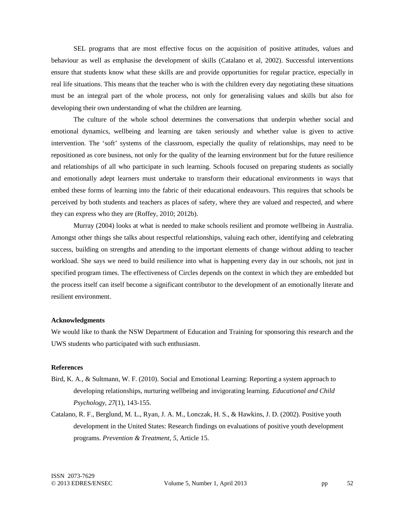SEL programs that are most effective focus on the acquisition of positive attitudes, values and behaviour as well as emphasise the development of skills (Catalano et al, 2002). Successful interventions ensure that students know what these skills are and provide opportunities for regular practice, especially in real life situations. This means that the teacher who is with the children every day negotiating these situations must be an integral part of the whole process, not only for generalising values and skills but also for developing their own understanding of what the children are learning.

The culture of the whole school determines the conversations that underpin whether social and emotional dynamics, wellbeing and learning are taken seriously and whether value is given to active intervention. The 'soft' systems of the classroom, especially the quality of relationships, may need to be repositioned as core business, not only for the quality of the learning environment but for the future resilience and relationships of all who participate in such learning. Schools focused on preparing students as socially and emotionally adept learners must undertake to transform their educational environments in ways that embed these forms of learning into the fabric of their educational endeavours. This requires that schools be perceived by both students and teachers as places of safety, where they are valued and respected, and where they can express who they are (Roffey, 2010; 2012b).

Murray (2004) looks at what is needed to make schools resilient and promote wellbeing in Australia. Amongst other things she talks about respectful relationships, valuing each other, identifying and celebrating success, building on strengths and attending to the important elements of change without adding to teacher workload. She says we need to build resilience into what is happening every day in our schools, not just in specified program times. The effectiveness of Circles depends on the context in which they are embedded but the process itself can itself become a significant contributor to the development of an emotionally literate and resilient environment.

## **Acknowledgments**

We would like to thank the NSW Department of Education and Training for sponsoring this research and the UWS students who participated with such enthusiasm.

## **References**

- Bird, K. A., & Sultmann, W. F. (2010). Social and Emotional Learning: Reporting a system approach to developing relationships, nurturing wellbeing and invigorating learning. *Educational and Child Psychology, 27*(1), 143-155.
- Catalano, R. F., Berglund, M. L., Ryan, J. A. M., Lonczak, H. S., & Hawkins, J. D. (2002). Positive youth development in the United States: Research findings on evaluations of positive youth development programs. *Prevention & Treatment, 5*, Article 15.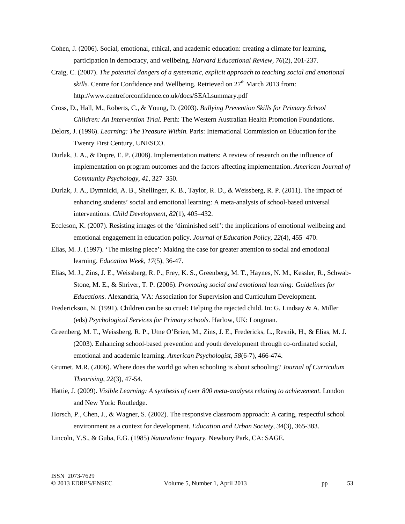- Cohen, J. (2006). Social, emotional, ethical, and academic education: creating a climate for learning, participation in democracy, and wellbeing. *Harvard Educational Review, 76*(2), 201-237.
- Craig, C. (2007). *The potential dangers of a systematic, explicit approach to teaching social and emotional skills*. Centre for Confidence and Wellbeing. Retrieved on  $27<sup>th</sup>$  March 2013 from: http://www.centreforconfidence.co.uk/docs/SEALsummary.pdf
- Cross, D., Hall, M., Roberts, C., & Young, D. (2003). *Bullying Prevention Skills for Primary School Children: An Intervention Trial.* Perth: The Western Australian Health Promotion Foundations.
- Delors, J. (1996). *Learning: The Treasure Within.* Paris: International Commission on Education for the Twenty First Century, UNESCO.
- Durlak, J. A., & Dupre, E. P. (2008). Implementation matters: A review of research on the influence of implementation on program outcomes and the factors affecting implementation. *American Journal of Community Psychology, 41*, 327–350.
- Durlak, J. A., Dymnicki, A. B., Shellinger, K. B., Taylor, R. D., & Weissberg, R. P. (2011). The impact of enhancing students' social and emotional learning: A meta-analysis of school-based universal interventions. *Child Development, 82*(1), 405–432.
- Eccleson, K. (2007). Resisting images of the 'diminished self': the implications of emotional wellbeing and emotional engagement in education policy. *Journal of Education Policy, 22*(4), 455–470.
- Elias, M. J. (1997). 'The missing piece': Making the case for greater attention to social and emotional learning. *Education Week, 17*(5), 36-47.
- Elias, M. J., Zins, J. E., Weissberg, R. P., Frey, K. S., Greenberg, M. T., Haynes, N. M., Kessler, R., Schwab-Stone, M. E., & Shriver, T. P. (2006). *Promoting social and emotional learning: Guidelines for Educations*. Alexandria, VA: Association for Supervision and Curriculum Development.
- Frederickson, N. (1991). Children can be so cruel: Helping the rejected child. In: G. Lindsay & A. Miller (eds) *Psychological Services for Primary schools*. Harlow, UK: Longman.
- Greenberg, M. T., Weissberg, R. P., Utne O'Brien, M., Zins, J. E., Fredericks, L., Resnik, H., & Elias, M. J. (2003). Enhancing school-based prevention and youth development through co-ordinated social, emotional and academic learning. *American Psychologist, 58*(6-7), 466-474.
- Grumet, M.R. (2006). Where does the world go when schooling is about schooling? *Journal of Curriculum Theorising, 22*(3), 47-54.
- Hattie, J. (2009). *Visible Learning: A synthesis of over 800 meta-analyses relating to achievement.* London and New York: Routledge.
- Horsch, P., Chen, J., & Wagner, S. (2002). The responsive classroom approach: A caring, respectful school environment as a context for development*. Education and Urban Society, 34*(3), 365-383.

Lincoln, Y.S., & Guba, E.G. (1985) *Naturalistic Inquiry.* Newbury Park, CA: SAGE.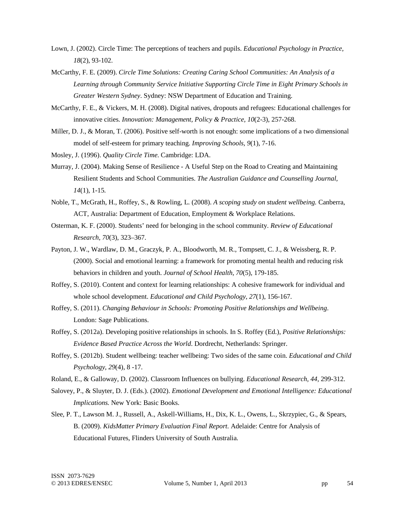- Lown, J. (2002). Circle Time: The perceptions of teachers and pupils. *Educational Psychology in Practice, 18*(2), 93-102.
- McCarthy, F. E. (2009). *Circle Time Solutions: Creating Caring School Communities: An Analysis of a Learning through Community Service Initiative Supporting Circle Time in Eight Primary Schools in Greater Western Sydney*. Sydney: NSW Department of Education and Training.
- McCarthy, F. E., & Vickers, M. H. (2008). Digital natives, dropouts and refugees: Educational challenges for innovative cities. *Innovation: Management, Policy & Practice, 10*(2-3), 257-268.
- Miller, D. J., & Moran, T. (2006). Positive self-worth is not enough: some implications of a two dimensional model of self-esteem for primary teaching. *Improving Schools, 9*(1), 7-16.

Mosley, J. (1996). *Quality Circle Time*. Cambridge: LDA.

- Murray, J. (2004). Making Sense of Resilience A Useful Step on the Road to Creating and Maintaining Resilient Students and School Communities. *The Australian Guidance and Counselling Journal, 14*(1), 1-15*.*
- Noble, T., McGrath, H., Roffey, S., & Rowling, L. (2008). *A scoping study on student wellbeing.* Canberra, ACT, Australia: Department of Education, Employment & Workplace Relations.
- Osterman, K. F. (2000). Students' need for belonging in the school community. *Review of Educational Research, 70*(3), 323–367.
- Payton, J. W., Wardlaw, D. M., Graczyk, P. A., Bloodworth, M. R., Tompsett, C. J., & Weissberg, R. P. (2000). Social and emotional learning: a framework for promoting mental health and reducing risk behaviors in children and youth. *Journal of School Health, 70*(5), 179-185.
- Roffey, S. (2010). Content and context for learning relationships: A cohesive framework for individual and whole school development. *Educational and Child Psychology, 27*(1), 156-167.
- Roffey, S. (2011). *Changing Behaviour in Schools: Promoting Positive Relationships and Wellbeing*. London: Sage Publications.
- Roffey, S. (2012a). Developing positive relationships in schools. In S. Roffey (Ed.), *Positive Relationships: Evidence Based Practice Across the World*. Dordrecht, Netherlands: Springer.
- Roffey, S. (2012b). Student wellbeing: teacher wellbeing: Two sides of the same coin. *Educational and Child Psychology, 29*(4), 8 -17.
- Roland, E., & Galloway, D. (2002). Classroom Influences on bullying. *Educational Research, 44,* 299-312.
- Salovey, P., & Sluyter, D. J. (Eds.). (2002). *Emotional Development and Emotional Intelligence: Educational Implications.* New York: Basic Books.
- Slee, P. T., Lawson M. J., Russell, A., Askell-Williams, H., Dix, K. L., Owens, L., Skrzypiec, G., & Spears, B. (2009). *KidsMatter Primary Evaluation Final Report.* Adelaide: Centre for Analysis of Educational Futures, Flinders University of South Australia.